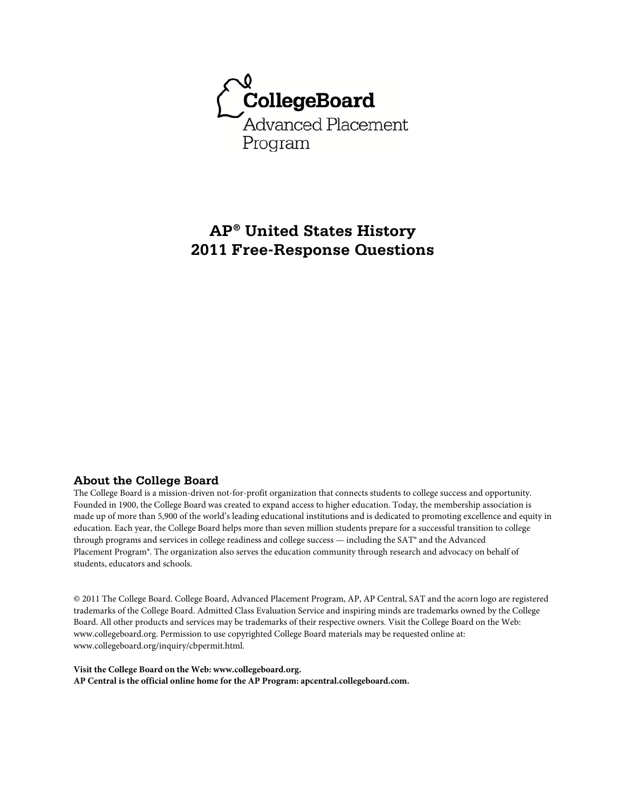

# **AP® United States History 2011 Free-Response Questions**

# **About the College Board**

The College Board is a mission-driven not-for-profit organization that connects students to college success and opportunity. Founded in 1900, the College Board was created to expand access to higher education. Today, the membership association is made up of more than 5,900 of the world's leading educational institutions and is dedicated to promoting excellence and equity in education. Each year, the College Board helps more than seven million students prepare for a successful transition to college through programs and services in college readiness and college success — including the SAT® and the Advanced Placement Program®. The organization also serves the education community through research and advocacy on behalf of students, educators and schools.

© 2011 The College Board. College Board, Advanced Placement Program, AP, AP Central, SAT and the acorn logo are registered trademarks of the College Board. Admitted Class Evaluation Service and inspiring minds are trademarks owned by the College Board. All other products and services may be trademarks of their respective owners. Visit the College Board on the Web: www.collegeboard.org. Permission to use copyrighted College Board materials may be requested online at: www.collegeboard.org/inquiry/cbpermit.html.

**Visit the College Board on the Web: www.collegeboard.org. AP Central is the official online home for the AP Program: apcentral.collegeboard.com.**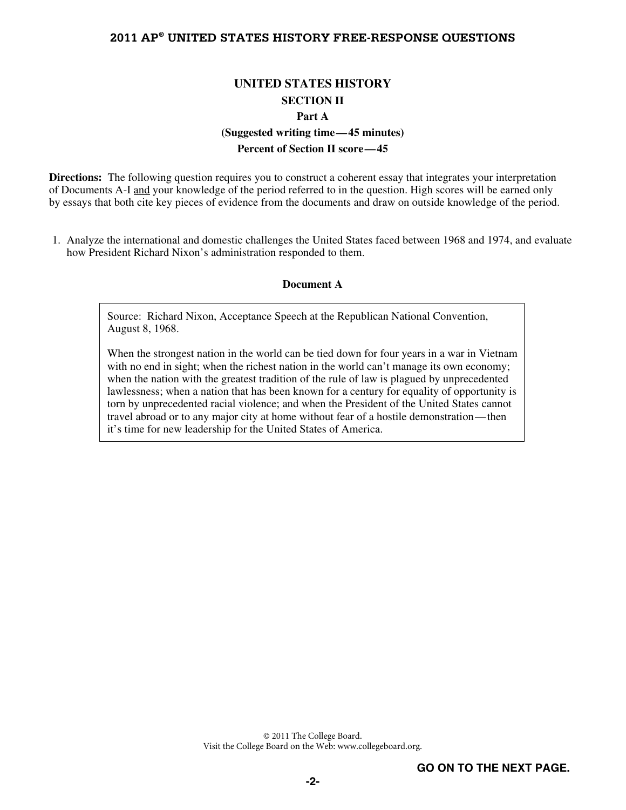# **UNITED STATES HISTORY SECTION II Part A (Suggested writing time—45 minutes)**

# **Percent of Section II score—45**

**Directions:** The following question requires you to construct a coherent essay that integrates your interpretation of Documents A-I and your knowledge of the period referred to in the question. High scores will be earned only by essays that both cite key pieces of evidence from the documents and draw on outside knowledge of the period.

 1. Analyze the international and domestic challenges the United States faced between 1968 and 1974, and evaluate how President Richard Nixon's administration responded to them.

#### **Document A**

Source: Richard Nixon, Acceptance Speech at the Republican National Convention, August 8, 1968.

When the strongest nation in the world can be tied down for four years in a war in Vietnam with no end in sight; when the richest nation in the world can't manage its own economy; when the nation with the greatest tradition of the rule of law is plagued by unprecedented lawlessness; when a nation that has been known for a century for equality of opportunity is torn by unprecedented racial violence; and when the President of the United States cannot travel abroad or to any major city at home without fear of a hostile demonstration—then it's time for new leadership for the United States of America.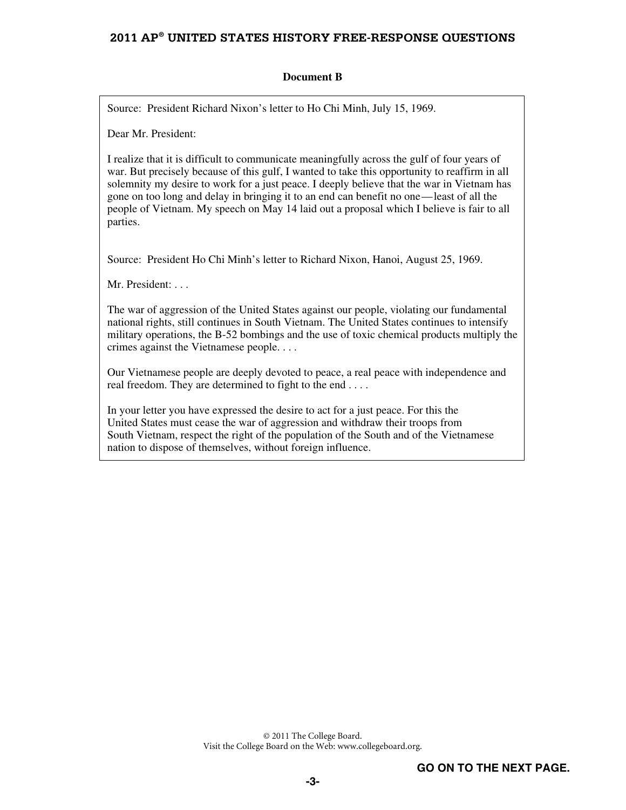### **Document B**

Source: President Richard Nixon's letter to Ho Chi Minh, July 15, 1969.

Dear Mr. President:

I realize that it is difficult to communicate meaningfully across the gulf of four years of war. But precisely because of this gulf, I wanted to take this opportunity to reaffirm in all solemnity my desire to work for a just peace. I deeply believe that the war in Vietnam has gone on too long and delay in bringing it to an end can benefit no one—least of all the people of Vietnam. My speech on May 14 laid out a proposal which I believe is fair to all parties.

Source: President Ho Chi Minh's letter to Richard Nixon, Hanoi, August 25, 1969.

Mr. President: . . .

The war of aggression of the United States against our people, violating our fundamental national rights, still continues in South Vietnam. The United States continues to intensify military operations, the B-52 bombings and the use of toxic chemical products multiply the crimes against the Vietnamese people. . . .

Our Vietnamese people are deeply devoted to peace, a real peace with independence and real freedom. They are determined to fight to the end . . . .

In your letter you have expressed the desire to act for a just peace. For this the United States must cease the war of aggression and withdraw their troops from South Vietnam, respect the right of the population of the South and of the Vietnamese nation to dispose of themselves, without foreign influence.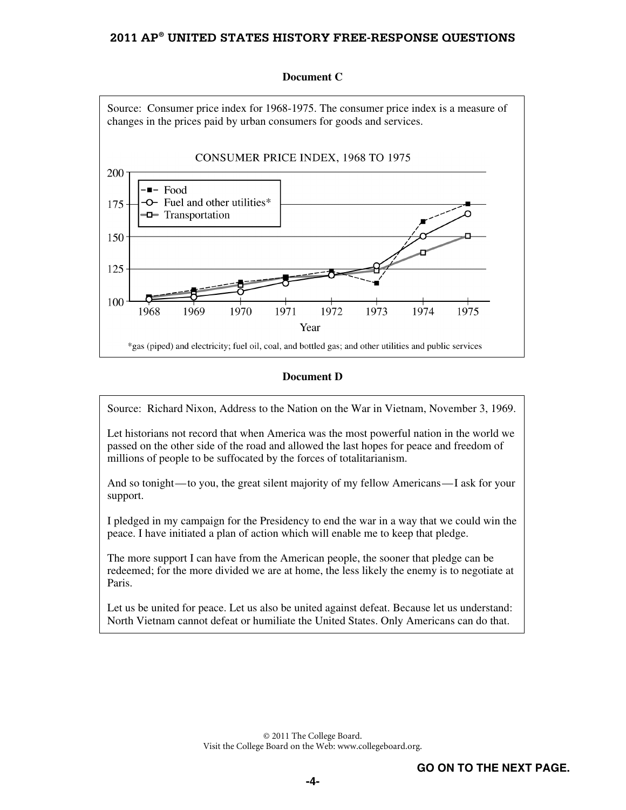

#### **Document C**

Source: Richard Nixon, Address to the Nation on the War in Vietnam, November 3, 1969.

Let historians not record that when America was the most powerful nation in the world we passed on the other side of the road and allowed the last hopes for peace and freedom of millions of people to be suffocated by the forces of totalitarianism.

And so tonight—to you, the great silent majority of my fellow Americans—I ask for your support.

I pledged in my campaign for the Presidency to end the war in a way that we could win the peace. I have initiated a plan of action which will enable me to keep that pledge.

The more support I can have from the American people, the sooner that pledge can be redeemed; for the more divided we are at home, the less likely the enemy is to negotiate at Paris.

Let us be united for peace. Let us also be united against defeat. Because let us understand: North Vietnam cannot defeat or humiliate the United States. Only Americans can do that.

**Document D**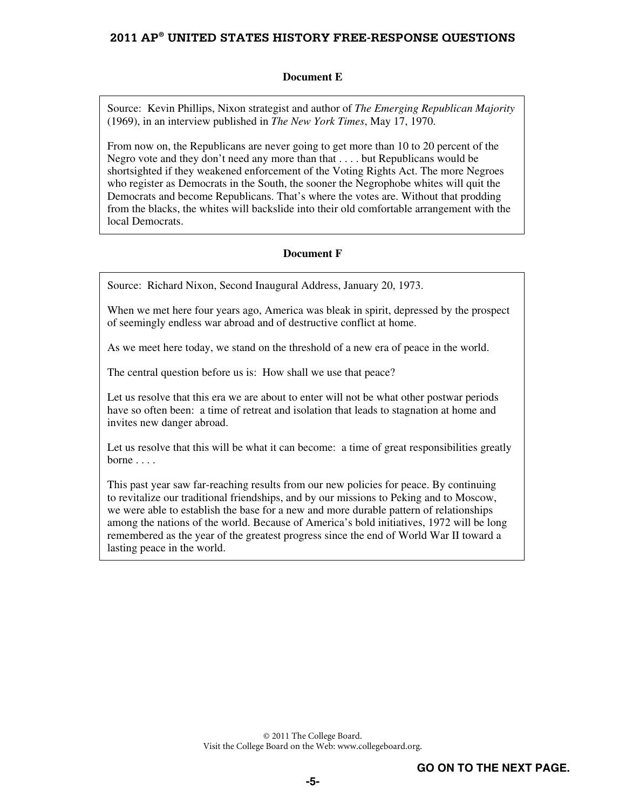### **Document E**

Source: Kevin Phillips, Nixon strategist and author of *The Emerging Republican Majority* (1969), in an interview published in *The New York Times*, May 17, 1970.

From now on, the Republicans are never going to get more than 10 to 20 percent of the Negro vote and they don't need any more than that . . . . but Republicans would be shortsighted if they weakened enforcement of the Voting Rights Act. The more Negroes who register as Democrats in the South, the sooner the Negrophobe whites will quit the Democrats and become Republicans. That's where the votes are. Without that prodding from the blacks, the whites will backslide into their old comfortable arrangement with the local Democrats.

### **Document F**

Source: Richard Nixon, Second Inaugural Address, January 20, 1973.

When we met here four years ago, America was bleak in spirit, depressed by the prospect of seemingly endless war abroad and of destructive conflict at home.

As we meet here today, we stand on the threshold of a new era of peace in the world.

The central question before us is: How shall we use that peace?

Let us resolve that this era we are about to enter will not be what other postwar periods have so often been: a time of retreat and isolation that leads to stagnation at home and invites new danger abroad.

Let us resolve that this will be what it can become: a time of great responsibilities greatly borne ...

This past year saw far-reaching results from our new policies for peace. By continuing to revitalize our traditional friendships, and by our missions to Peking and to Moscow, we were able to establish the base for a new and more durable pattern of relationships among the nations of the world. Because of America's bold initiatives, 1972 will be long remembered as the year of the greatest progress since the end of World War II toward a lasting peace in the world.

> © 2011 The College Board. Visit the College Board on the Web: www.collegeboard.org.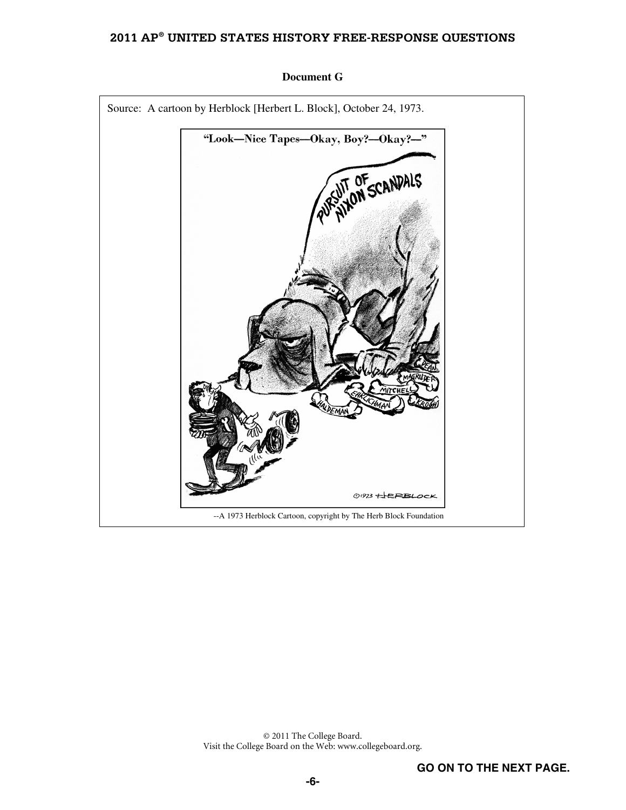

#### **Document G**

© 2011 The College Board. Visit the College Board on the Web: www.collegeboard.org.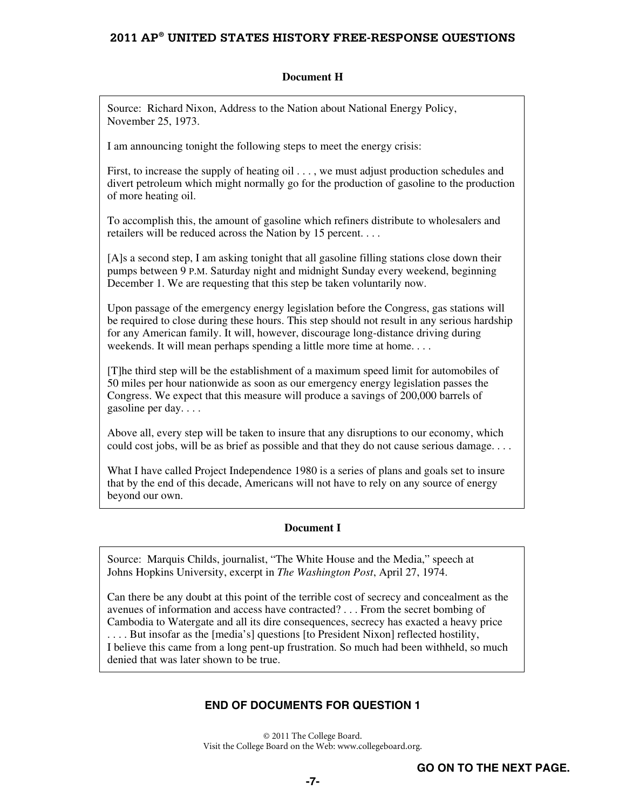### **Document H**

Source: Richard Nixon, Address to the Nation about National Energy Policy, November 25, 1973.

I am announcing tonight the following steps to meet the energy crisis:

First, to increase the supply of heating oil . . . , we must adjust production schedules and divert petroleum which might normally go for the production of gasoline to the production of more heating oil.

To accomplish this, the amount of gasoline which refiners distribute to wholesalers and retailers will be reduced across the Nation by 15 percent. . . .

[A]s a second step, I am asking tonight that all gasoline filling stations close down their pumps between 9 P.M. Saturday night and midnight Sunday every weekend, beginning December 1. We are requesting that this step be taken voluntarily now.

Upon passage of the emergency energy legislation before the Congress, gas stations will be required to close during these hours. This step should not result in any serious hardship for any American family. It will, however, discourage long-distance driving during weekends. It will mean perhaps spending a little more time at home....

[T]he third step will be the establishment of a maximum speed limit for automobiles of 50 miles per hour nationwide as soon as our emergency energy legislation passes the Congress. We expect that this measure will produce a savings of 200,000 barrels of gasoline per day. . . .

Above all, every step will be taken to insure that any disruptions to our economy, which could cost jobs, will be as brief as possible and that they do not cause serious damage....

What I have called Project Independence 1980 is a series of plans and goals set to insure that by the end of this decade, Americans will not have to rely on any source of energy beyond our own.

#### **Document I**

Source: Marquis Childs, journalist, "The White House and the Media," speech at Johns Hopkins University, excerpt in *The Washington Post*, April 27, 1974.

Can there be any doubt at this point of the terrible cost of secrecy and concealment as the avenues of information and access have contracted? . . . From the secret bombing of Cambodia to Watergate and all its dire consequences, secrecy has exacted a heavy price . . . . But insofar as the [media's] questions [to President Nixon] reflected hostility, I believe this came from a long pent-up frustration. So much had been withheld, so much denied that was later shown to be true.

# **END OF DOCUMENTS FOR QUESTION 1**

© 2011 The College Board. Visit the College Board on the Web: www.collegeboard.org.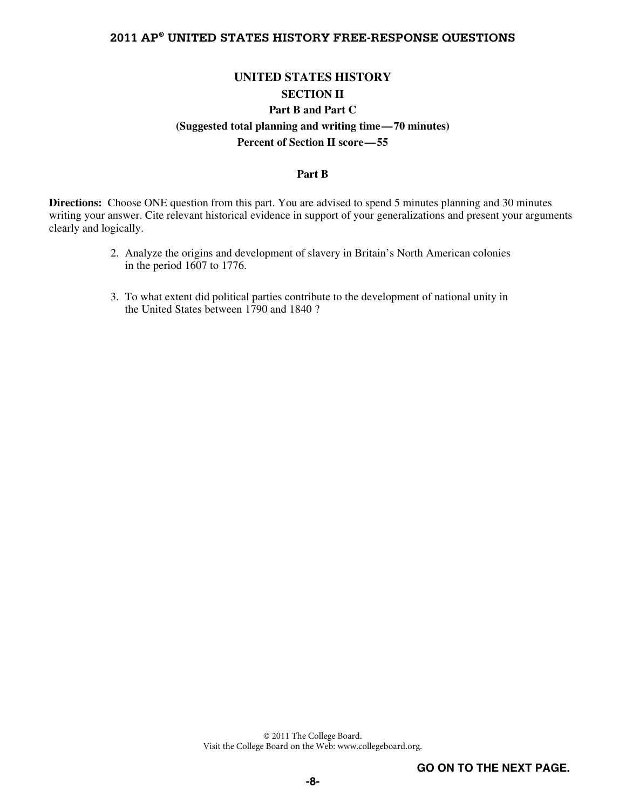# **UNITED STATES HISTORY SECTION II Part B and Part C (Suggested total planning and writing time—70 minutes) Percent of Section II score—55**

### **Part B**

**Directions:** Choose ONE question from this part. You are advised to spend 5 minutes planning and 30 minutes writing your answer. Cite relevant historical evidence in support of your generalizations and present your arguments clearly and logically.

- 2. Analyze the origins and development of slavery in Britain's North American colonies in the period 1607 to 1776.
- 3. To what extent did political parties contribute to the development of national unity in the United States between 1790 and 1840 ?